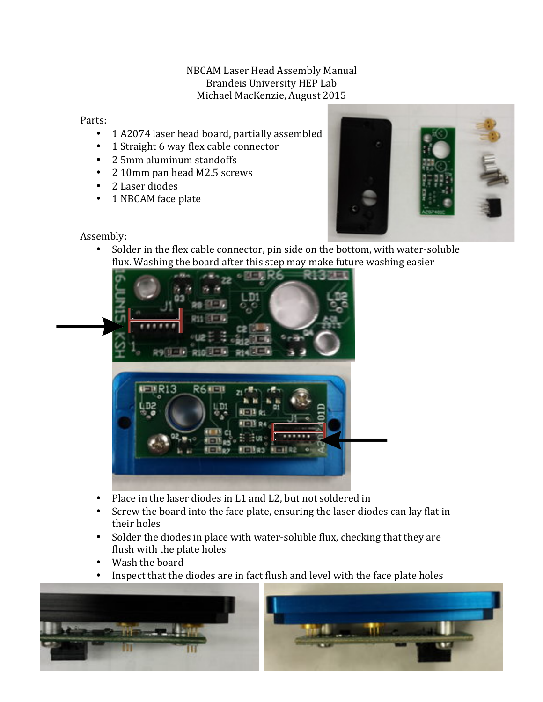## NBCAM Laser Head Assembly Manual Brandeis University HEP Lab Michael MacKenzie, August 2015

## Parts:

- 1 A2074 laser head board, partially assembled
- 1 Straight 6 way flex cable connector
- 2 5mm aluminum standoffs
- 2 10mm pan head M2.5 screws
- 2 Laser diodes
- 1 NBCAM face plate



Assembly:

• Solder in the flex cable connector, pin side on the bottom, with water-soluble flux. Washing the board after this step may make future washing easier



- Place in the laser diodes in L1 and L2, but not soldered in
- Screw the board into the face plate, ensuring the laser diodes can lay flat in their holes
- Solder the diodes in place with water-soluble flux, checking that they are flush with the plate holes
- Wash the board
- Inspect that the diodes are in fact flush and level with the face plate holes